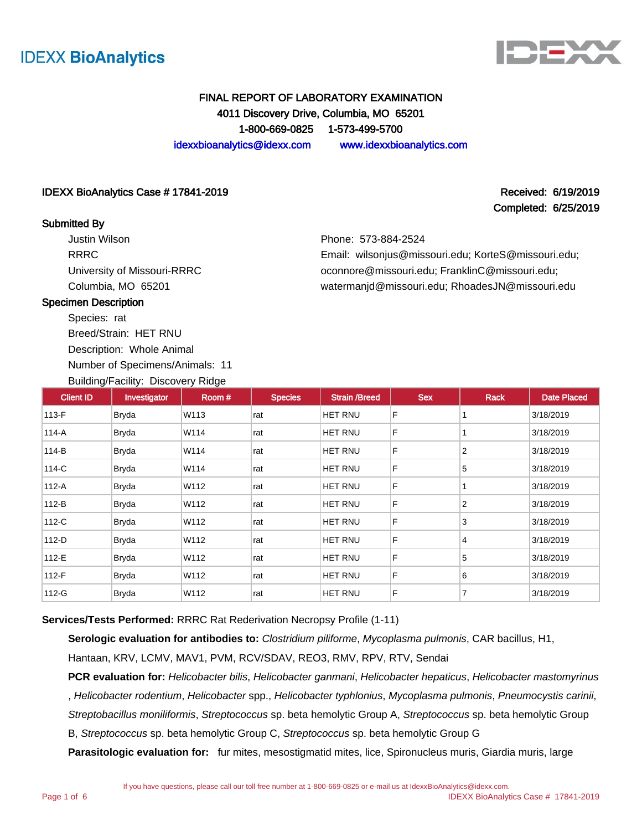



# FINAL REPORT OF LABORATORY EXAMINATION 4011 Discovery Drive, Columbia, MO 65201 1-800-669-0825 1-573-499-5700 idexxbioanalytics@idexx.com www.idexxbioanalytics.com

## IDEXX BioAnalytics Case # 17841-2019 Received: 6/19/2019 Received: 6/19/2019

## Submitted By

Justin Wilson RRRC University of Missouri-RRRC Columbia, MO 65201

Completed: 6/25/2019

Phone: 573-884-2524

Email: wilsonjus@missouri.edu; KorteS@missouri.edu; oconnore@missouri.edu; FranklinC@missouri.edu; watermanjd@missouri.edu; RhoadesJN@missouri.edu

## Specimen Description

Species: rat

Breed/Strain: HET RNU Description: Whole Animal

Number of Specimens/Animals: 11

Building/Facility: Discovery Ridge

| <b>Client ID</b> | Investigator | Room# | <b>Species</b> | <b>Strain /Breed</b> | <b>Sex</b> | <b>Rack</b>    | <b>Date Placed</b> |
|------------------|--------------|-------|----------------|----------------------|------------|----------------|--------------------|
| $113-F$          | <b>Bryda</b> | W113  | rat            | <b>HET RNU</b>       | F          |                | 3/18/2019          |
| 114-A            | <b>Bryda</b> | W114  | rat            | HET RNU              | F          |                | 3/18/2019          |
| 114-B            | <b>Bryda</b> | W114  | rat            | HET RNU              | F          | $\overline{2}$ | 3/18/2019          |
| 114-C            | <b>Bryda</b> | W114  | rat            | <b>HET RNU</b>       | F          | 5              | 3/18/2019          |
| 112-A            | <b>Bryda</b> | W112  | rat            | <b>HET RNU</b>       | F          |                | 3/18/2019          |
| 112-B            | <b>Bryda</b> | W112  | rat            | <b>HET RNU</b>       | F          | $\overline{2}$ | 3/18/2019          |
| 112-C            | <b>Bryda</b> | W112  | rat            | <b>HET RNU</b>       | F          | 3              | 3/18/2019          |
| $112-D$          | <b>Bryda</b> | W112  | rat            | <b>HET RNU</b>       | F          | 4              | 3/18/2019          |
| 112-E            | <b>Bryda</b> | W112  | rat            | HET RNU              | F          | 5              | 3/18/2019          |
| 112-F            | <b>Bryda</b> | W112  | rat            | <b>HET RNU</b>       | F          | 6              | 3/18/2019          |
| 112-G            | <b>Bryda</b> | W112  | rat            | HET RNU              | F          | $\overline{7}$ | 3/18/2019          |

**Services/Tests Performed:** RRRC Rat Rederivation Necropsy Profile (1-11)

**Serologic evaluation for antibodies to:** Clostridium piliforme, Mycoplasma pulmonis, CAR bacillus, H1,

Hantaan, KRV, LCMV, MAV1, PVM, RCV/SDAV, REO3, RMV, RPV, RTV, Sendai

**PCR evaluation for:** Helicobacter bilis, Helicobacter ganmani, Helicobacter hepaticus, Helicobacter mastomyrinus , Helicobacter rodentium, Helicobacter spp., Helicobacter typhlonius, Mycoplasma pulmonis, Pneumocystis carinii, Streptobacillus moniliformis, Streptococcus sp. beta hemolytic Group A, Streptococcus sp. beta hemolytic Group

B, Streptococcus sp. beta hemolytic Group C, Streptococcus sp. beta hemolytic Group G

**Parasitologic evaluation for:** fur mites, mesostigmatid mites, lice, Spironucleus muris, Giardia muris, large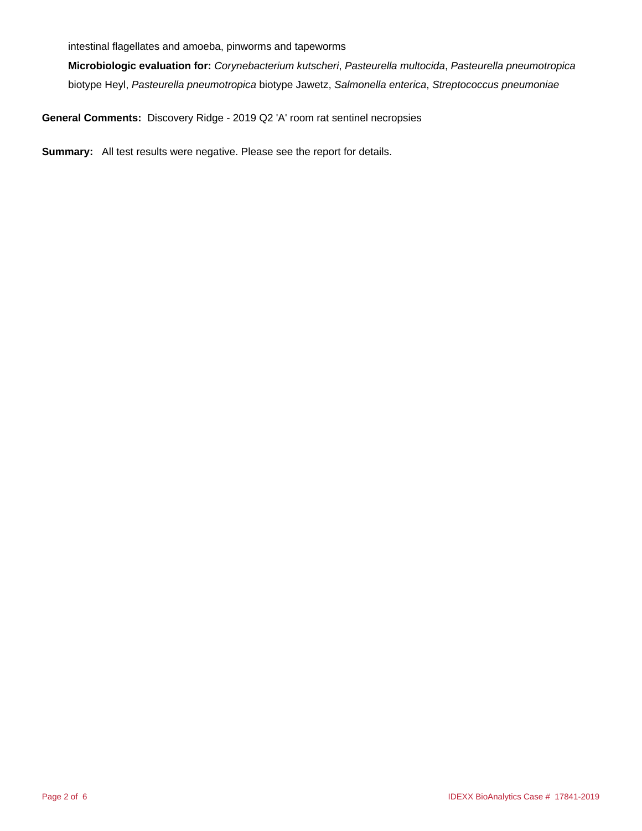intestinal flagellates and amoeba, pinworms and tapeworms

**Microbiologic evaluation for:** Corynebacterium kutscheri, Pasteurella multocida, Pasteurella pneumotropica biotype Heyl, Pasteurella pneumotropica biotype Jawetz, Salmonella enterica, Streptococcus pneumoniae

**General Comments:** Discovery Ridge - 2019 Q2 'A' room rat sentinel necropsies

**Summary:** All test results were negative. Please see the report for details.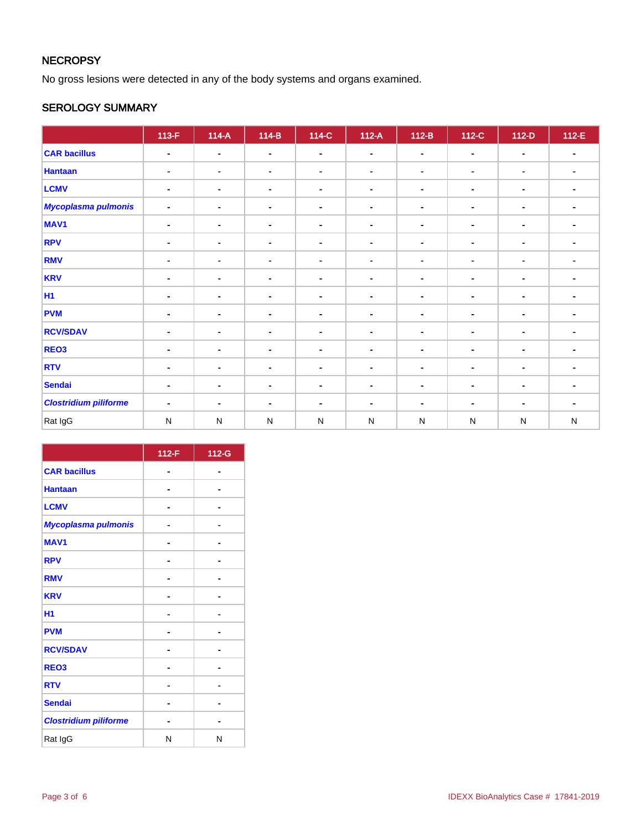# **NECROPSY**

No gross lesions were detected in any of the body systems and organs examined.

# SEROLOGY SUMMARY

|                              | $113-F$        | $114-A$        | $114-B$        | $114-C$        | $112-A$        | $112-B$        | 112-C          | $112-D$        | $112-E$        |
|------------------------------|----------------|----------------|----------------|----------------|----------------|----------------|----------------|----------------|----------------|
| <b>CAR bacillus</b>          | $\blacksquare$ | $\blacksquare$ | $\blacksquare$ | $\blacksquare$ | $\blacksquare$ | $\blacksquare$ | $\blacksquare$ | $\blacksquare$ | $\sim$         |
| <b>Hantaan</b>               | $\blacksquare$ | $\blacksquare$ | $\blacksquare$ | $\blacksquare$ | $\blacksquare$ | ٠              | $\blacksquare$ | $\blacksquare$ | ۰              |
| <b>LCMV</b>                  | $\blacksquare$ | $\sim$         | $\blacksquare$ | $\blacksquare$ | $\blacksquare$ |                | $\blacksquare$ | $\blacksquare$ | $\blacksquare$ |
| <b>Mycoplasma pulmonis</b>   | $\blacksquare$ | $\blacksquare$ | $\blacksquare$ | $\blacksquare$ | $\blacksquare$ | $\blacksquare$ | $\blacksquare$ | $\blacksquare$ | ۰.             |
| <b>MAV1</b>                  | $\blacksquare$ | $\sim$         | $\blacksquare$ | $\blacksquare$ | $\blacksquare$ | $\blacksquare$ | $\blacksquare$ | $\blacksquare$ | $\blacksquare$ |
| <b>RPV</b>                   | $\blacksquare$ | $\blacksquare$ | $\blacksquare$ | $\blacksquare$ | $\blacksquare$ | ۰              | $\blacksquare$ | $\blacksquare$ |                |
| <b>RMV</b>                   | $\blacksquare$ | $\blacksquare$ | $\blacksquare$ | $\blacksquare$ | $\blacksquare$ | ٠              | $\blacksquare$ | ٠              | ۰.             |
| <b>KRV</b>                   | $\blacksquare$ | $\blacksquare$ | $\blacksquare$ | $\blacksquare$ | $\blacksquare$ | ٠              | $\blacksquare$ | $\blacksquare$ | ۰              |
| <b>H1</b>                    | $\blacksquare$ | $\blacksquare$ | $\blacksquare$ | $\blacksquare$ | $\blacksquare$ | $\blacksquare$ | $\blacksquare$ | $\blacksquare$ | ۰              |
| <b>PVM</b>                   | $\blacksquare$ | $\blacksquare$ | $\blacksquare$ | $\blacksquare$ |                | ۰              | $\blacksquare$ | $\blacksquare$ |                |
| <b>RCV/SDAV</b>              | $\blacksquare$ | ۰              | $\blacksquare$ | $\blacksquare$ | $\blacksquare$ | ۰              | $\blacksquare$ | $\blacksquare$ | ۰              |
| REO3                         | $\blacksquare$ | $\blacksquare$ | $\blacksquare$ | $\blacksquare$ | $\blacksquare$ | ۰              | $\blacksquare$ | $\blacksquare$ | $\blacksquare$ |
| <b>RTV</b>                   | $\blacksquare$ | $\blacksquare$ | $\blacksquare$ | $\blacksquare$ | $\blacksquare$ | $\blacksquare$ | $\blacksquare$ | $\blacksquare$ | ۰.             |
| <b>Sendai</b>                | $\blacksquare$ | ۰              | $\blacksquare$ | $\blacksquare$ | $\blacksquare$ | ۰              | $\blacksquare$ | $\blacksquare$ | ۰              |
| <b>Clostridium piliforme</b> | $\blacksquare$ | $\blacksquare$ | $\blacksquare$ | $\blacksquare$ | $\blacksquare$ | ۰              | $\blacksquare$ | $\blacksquare$ | $\blacksquare$ |
| Rat IgG                      | ${\sf N}$      | ${\sf N}$      | $\mathsf{N}$   | ${\sf N}$      | ${\sf N}$      | N              | ${\sf N}$      | ${\sf N}$      | ${\sf N}$      |

|                              | 112-F | 112-G |
|------------------------------|-------|-------|
| <b>CAR bacillus</b>          |       |       |
| <b>Hantaan</b>               |       |       |
| <b>LCMV</b>                  |       |       |
| Mycoplasma pulmonis          |       |       |
| <b>MAV1</b>                  |       |       |
| <b>RPV</b>                   |       |       |
| <b>RMV</b>                   |       |       |
| <b>KRV</b>                   |       |       |
| H1                           |       |       |
| <b>PVM</b>                   |       |       |
| <b>RCV/SDAV</b>              |       |       |
| REO <sub>3</sub>             |       |       |
| <b>RTV</b>                   |       |       |
| <b>Sendai</b>                |       |       |
| <b>Clostridium piliforme</b> |       |       |
| Rat IgG                      | N     | N     |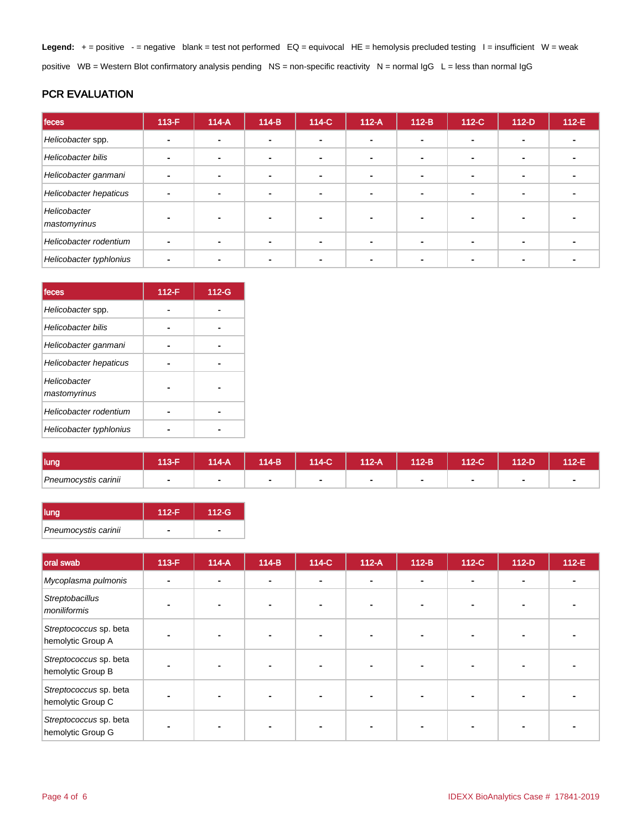Legend: + = positive - = negative blank = test not performed EQ = equivocal HE = hemolysis precluded testing I = insufficient W = weak positive WB = Western Blot confirmatory analysis pending NS = non-specific reactivity N = normal IgG L = less than normal IgG

# PCR EVALUATION

| feces                        | $113-F$ | $114-A$ | $114-B$        | 114-C          | $112-A$ | $112-B$ | $112-C$ | $112-D$        | $112-E$ |
|------------------------------|---------|---------|----------------|----------------|---------|---------|---------|----------------|---------|
| Helicobacter spp.            |         |         | -              |                |         |         |         |                |         |
| Helicobacter bilis           |         |         | -              | ۰.             |         |         | ۰       |                |         |
| Helicobacter ganmani         |         |         | $\blacksquare$ | $\blacksquare$ |         |         |         | $\blacksquare$ |         |
| Helicobacter hepaticus       |         |         |                | ۰              |         |         |         |                |         |
| Helicobacter<br>mastomyrinus |         |         |                |                |         |         |         |                |         |
| Helicobacter rodentium       |         |         |                | $\blacksquare$ |         |         |         | $\blacksquare$ |         |
| Helicobacter typhlonius      |         |         |                |                |         |         |         |                |         |

| feces                        | $112-F$ | 112-G |
|------------------------------|---------|-------|
| Helicobacter spp.            |         |       |
| <b>Helicobacter bilis</b>    |         |       |
| Helicobacter ganmani         |         |       |
| Helicobacter hepaticus       |         |       |
| Helicobacter<br>mastomyrinus |         |       |
| Helicobacter rodentium       |         |       |
| Helicobacter typhlonius      |         |       |

| lung                 | 40E | $14-A$ | $114-B$ | 114-C | $112-A$ | 112-B | 112-C | $12-D$ | 112-E |
|----------------------|-----|--------|---------|-------|---------|-------|-------|--------|-------|
| Pneumocystis carinii |     |        |         |       | ۰       |       |       |        |       |

| <b>lung</b>          | 112-F | $112-G$ |
|----------------------|-------|---------|
| Pneumocystis carinii |       |         |

| oral swab                                   | 113-F | $114-A$ | $114-B$ | 114-C                    | $112-A$ | $112-B$        | $112-C$ | $112-D$                  | 112-E |
|---------------------------------------------|-------|---------|---------|--------------------------|---------|----------------|---------|--------------------------|-------|
| Mycoplasma pulmonis                         |       |         | $\sim$  | $\overline{\phantom{a}}$ |         | $\blacksquare$ |         | $\overline{\phantom{a}}$ |       |
| Streptobacillus<br>moniliformis             |       |         |         |                          |         |                |         |                          |       |
| Streptococcus sp. beta<br>hemolytic Group A |       |         |         |                          |         |                |         |                          |       |
| Streptococcus sp. beta<br>hemolytic Group B |       |         |         |                          |         |                |         |                          |       |
| Streptococcus sp. beta<br>hemolytic Group C |       |         |         |                          |         |                |         |                          |       |
| Streptococcus sp. beta<br>hemolytic Group G |       |         |         |                          |         |                |         |                          |       |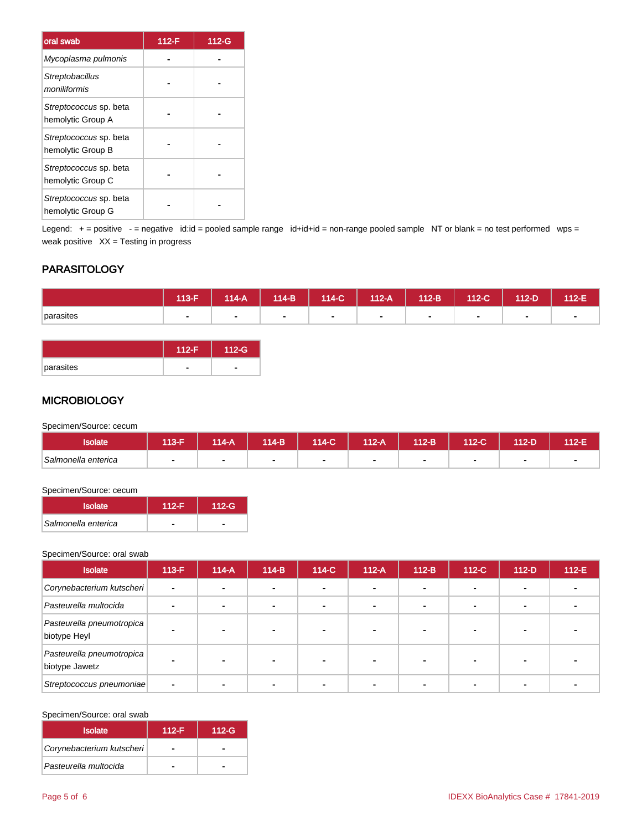| oral swab                                   | 112-F | 112-G |
|---------------------------------------------|-------|-------|
| Mycoplasma pulmonis                         |       |       |
| Streptobacillus<br>moniliformis             |       |       |
| Streptococcus sp. beta<br>hemolytic Group A |       |       |
| Streptococcus sp. beta<br>hemolytic Group B |       |       |
| Streptococcus sp. beta<br>hemolytic Group C |       |       |
| Streptococcus sp. beta<br>hemolytic Group G |       |       |

Legend: + = positive - = negative id:id = pooled sample range id+id+id = non-range pooled sample NT or blank = no test performed wps = weak positive  $XX =$  Testing in progress

# **PARASITOLOGY**

|           | 413-E | 114-A | $114-B$ | 114-C | $112-A$ | 112-B | 112-C                    | 112-D | $12-E$ |
|-----------|-------|-------|---------|-------|---------|-------|--------------------------|-------|--------|
| parasites |       |       | . .     |       |         |       | $\overline{\phantom{a}}$ | -     |        |

|           | $112-G$        |
|-----------|----------------|
| parasites | $\blacksquare$ |

## **MICROBIOLOGY**

Specimen/Source: cecum

| <b>Isolate</b>      | 13-F | 114-A                    | 114-B | 114-C | 112-A | 112-B' | 112-C | $12-D$ | 42-EZ |
|---------------------|------|--------------------------|-------|-------|-------|--------|-------|--------|-------|
| Salmonella enterica |      | $\overline{\phantom{0}}$ |       |       |       |        |       |        |       |

### Specimen/Source: cecum

| <b>Isolate</b>      | $112-F$ | 112-G |  |  |
|---------------------|---------|-------|--|--|
| Salmonella enterica |         |       |  |  |

## Specimen/Source: oral swab

| <b>Isolate</b>                              | $113-F$        | $114-A$ | $114-B$ | 114-C | $112-A$ | $112-B$ | 112-C | $112-D$ | $112-E$ |
|---------------------------------------------|----------------|---------|---------|-------|---------|---------|-------|---------|---------|
| Corynebacterium kutscheri                   | $\blacksquare$ |         |         |       |         |         |       |         |         |
| Pasteurella multocida                       |                |         |         |       |         |         |       |         |         |
| Pasteurella pneumotropica<br>biotype Heyl   |                |         |         |       |         |         |       |         |         |
| Pasteurella pneumotropica<br>biotype Jawetz |                |         |         |       |         |         |       |         |         |
| Streptococcus pneumoniae                    | $\blacksquare$ |         |         |       |         |         |       |         |         |

### Specimen/Source: oral swab

| <b>Isolate</b>            | $112-F$ | $112-G$ |
|---------------------------|---------|---------|
| Corynebacterium kutscheri |         |         |
| Pasteurella multocida     |         |         |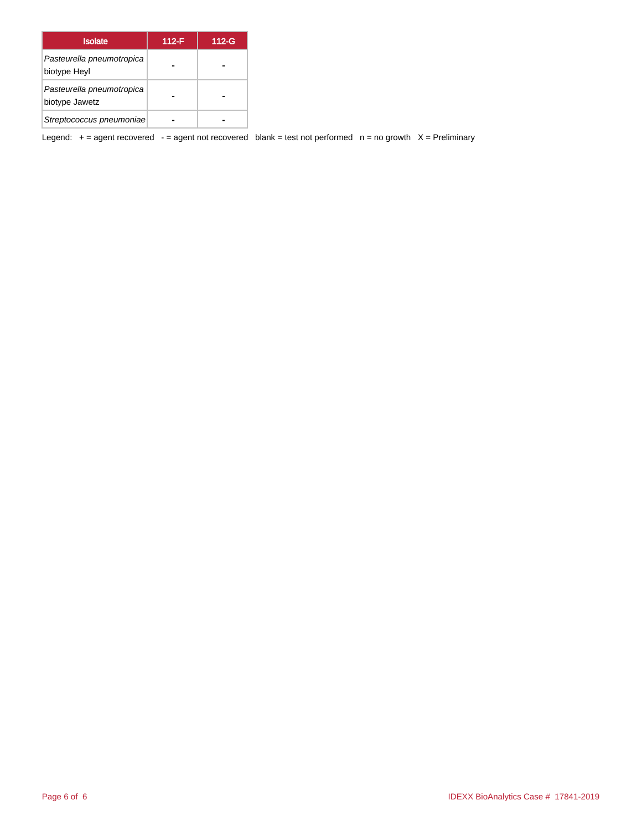| <b>Isolate</b>                              | $112-F$ | 112-G |
|---------------------------------------------|---------|-------|
| Pasteurella pneumotropica<br>biotype Heyl   |         |       |
| Pasteurella pneumotropica<br>biotype Jawetz |         |       |
| Streptococcus pneumoniae                    |         |       |

Legend:  $+$  = agent recovered - = agent not recovered blank = test not performed  $n$  = no growth  $X$  = Preliminary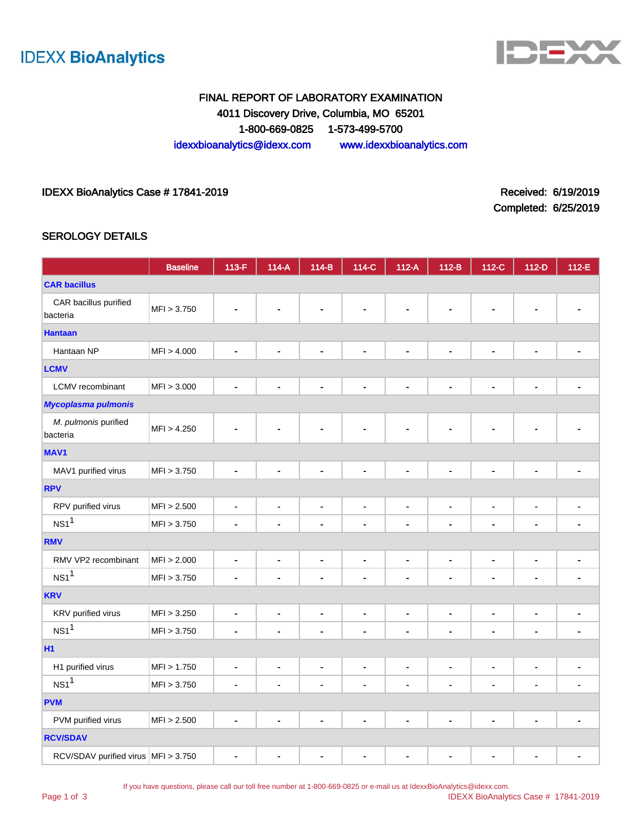



# FINAL REPORT OF LABORATORY EXAMINATION 4011 Discovery Drive, Columbia, MO 65201 1-800-669-0825 1-573-499-5700 idexxbioanalytics@idexx.com www.idexxbioanalytics.com

IDEXX BioAnalytics Case # 17841-2019 **Received: 6/19/2019** Received: 6/19/2019

Completed: 6/25/2019

## SEROLOGY DETAILS

|                                       | <b>Baseline</b> | 113-F                        | 114-A                        | $114-B$        | 114-C                        | $112-A$                      | $112-B$                  | 112-C          | $112-D$        | 112-E          |  |  |
|---------------------------------------|-----------------|------------------------------|------------------------------|----------------|------------------------------|------------------------------|--------------------------|----------------|----------------|----------------|--|--|
| <b>CAR bacillus</b>                   |                 |                              |                              |                |                              |                              |                          |                |                |                |  |  |
| CAR bacillus purified<br>bacteria     | MFI > 3.750     |                              |                              |                |                              |                              |                          | ä,             |                |                |  |  |
| <b>Hantaan</b>                        |                 |                              |                              |                |                              |                              |                          |                |                |                |  |  |
| Hantaan NP                            | MFI > 4.000     |                              |                              | ä,             | $\blacksquare$               | $\blacksquare$               | $\overline{\phantom{a}}$ | $\overline{a}$ |                |                |  |  |
| <b>LCMV</b>                           |                 |                              |                              |                |                              |                              |                          |                |                |                |  |  |
| LCMV recombinant                      | MFI > 3.000     | ٠                            | $\blacksquare$               | ä,             | $\blacksquare$               | $\blacksquare$               | $\blacksquare$           | $\blacksquare$ | $\blacksquare$ |                |  |  |
| <b>Mycoplasma pulmonis</b>            |                 |                              |                              |                |                              |                              |                          |                |                |                |  |  |
| M. pulmonis purified<br>bacteria      | MFI > 4.250     |                              |                              |                | ä,                           |                              |                          | L.             | ÷,             |                |  |  |
| <b>MAV1</b>                           |                 |                              |                              |                |                              |                              |                          |                |                |                |  |  |
| MAV1 purified virus                   | MFI > 3.750     | $\qquad \qquad \blacksquare$ | $\blacksquare$               | ۰              | $\blacksquare$               | $\blacksquare$               | $\blacksquare$           | $\blacksquare$ | ٠              |                |  |  |
| <b>RPV</b>                            |                 |                              |                              |                |                              |                              |                          |                |                |                |  |  |
| RPV purified virus                    | MFI > 2.500     | $\blacksquare$               | ۰                            | ۰              | $\qquad \qquad \blacksquare$ | $\blacksquare$               | $\blacksquare$           | ۰              | $\blacksquare$ |                |  |  |
| NS1 <sup>1</sup>                      | MFI > 3.750     | $\overline{\phantom{0}}$     | $\blacksquare$               | ÷,             | $\blacksquare$               | Ĭ.                           | Ĭ.                       | $\blacksquare$ | $\blacksquare$ |                |  |  |
| <b>RMV</b>                            |                 |                              |                              |                |                              |                              |                          |                |                |                |  |  |
| RMV VP2 recombinant                   | MFI > 2.000     | $\blacksquare$               | $\blacksquare$               | $\blacksquare$ | $\blacksquare$               | $\blacksquare$               | $\blacksquare$           | $\blacksquare$ | $\blacksquare$ | $\blacksquare$ |  |  |
| NS1 <sup>1</sup>                      | MFI > 3.750     | -                            | $\blacksquare$               | ٠              | $\blacksquare$               | $\qquad \qquad \blacksquare$ | $\overline{\phantom{a}}$ | ä,             | $\blacksquare$ | $\blacksquare$ |  |  |
| <b>KRV</b>                            |                 |                              |                              |                |                              |                              |                          |                |                |                |  |  |
| KRV purified virus                    | MFI > 3.250     | $\blacksquare$               | $\blacksquare$               | $\blacksquare$ | $\blacksquare$               | $\blacksquare$               | $\blacksquare$           | $\blacksquare$ | $\blacksquare$ | $\blacksquare$ |  |  |
| NS1 <sup>1</sup>                      | MFI > 3.750     | ä,                           |                              | ÷,             | $\blacksquare$               | $\blacksquare$               | Ĭ.                       | Ĭ.             | $\blacksquare$ |                |  |  |
| H1                                    |                 |                              |                              |                |                              |                              |                          |                |                |                |  |  |
| H1 purified virus                     | MFI > 1.750     | ۰                            | $\qquad \qquad \blacksquare$ | $\blacksquare$ | $\blacksquare$               | $\blacksquare$               | $\blacksquare$           | $\blacksquare$ | $\blacksquare$ | $\blacksquare$ |  |  |
| NS1 <sup>1</sup>                      | MFI > 3.750     | $\blacksquare$               | $\blacksquare$               | $\overline{a}$ | $\blacksquare$               | $\blacksquare$               | $\blacksquare$           | $\overline{a}$ | $\blacksquare$ |                |  |  |
| <b>PVM</b>                            |                 |                              |                              |                |                              |                              |                          |                |                |                |  |  |
| PVM purified virus                    | MFI > 2.500     | $\blacksquare$               | $\blacksquare$               | $\blacksquare$ | ä,                           | ä,                           | ä,                       | $\blacksquare$ | ä,             |                |  |  |
| <b>RCV/SDAV</b>                       |                 |                              |                              |                |                              |                              |                          |                |                |                |  |  |
| RCV/SDAV purified virus   MFI > 3.750 |                 | $\qquad \qquad \blacksquare$ | $\blacksquare$               | ٠              | $\blacksquare$               | $\blacksquare$               | $\blacksquare$           | $\blacksquare$ | $\blacksquare$ | $\blacksquare$ |  |  |

If you have questions, please call our toll free number at 1-800-669-0825 or e-mail us at IdexxBioAnalytics@idexx.com.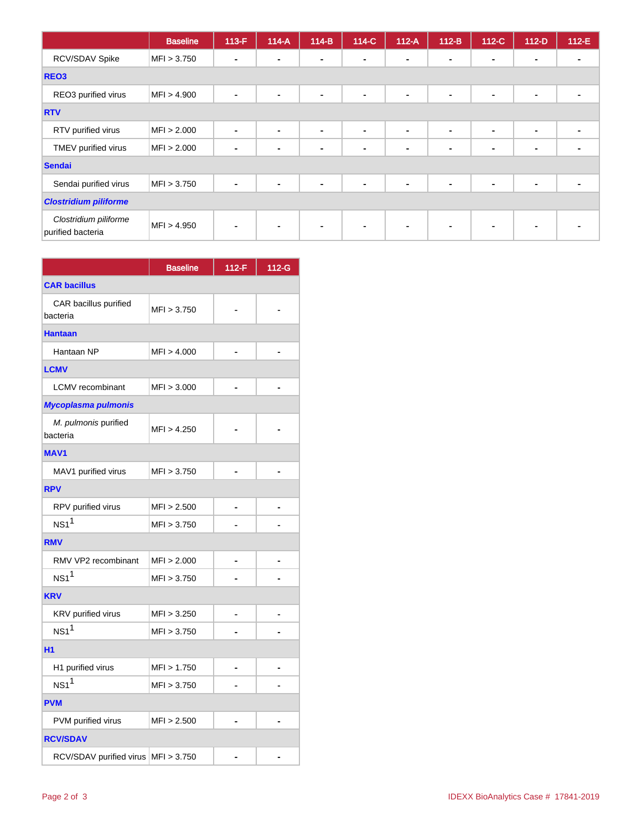|                                            | <b>Baseline</b> | $113-F$                  | $114-A$ | $114-B$        | 114-C          | $112-A$        | $112-B$        | $112-C$        | $112-D$        | 112-E |
|--------------------------------------------|-----------------|--------------------------|---------|----------------|----------------|----------------|----------------|----------------|----------------|-------|
| RCV/SDAV Spike                             | MFI > 3.750     | $\overline{\phantom{0}}$ |         | $\blacksquare$ | $\blacksquare$ | $\sim$         | $\blacksquare$ | $\blacksquare$ | $\blacksquare$ |       |
| REO <sub>3</sub>                           |                 |                          |         |                |                |                |                |                |                |       |
| REO3 purified virus                        | MFI > 4.900     |                          |         | ٠              | $\blacksquare$ | $\blacksquare$ | $\blacksquare$ | $\blacksquare$ | $\blacksquare$ |       |
| <b>RTV</b>                                 |                 |                          |         |                |                |                |                |                |                |       |
| RTV purified virus                         | MFI > 2.000     | ۰                        | ۰       | $\blacksquare$ | $\blacksquare$ | $\blacksquare$ | $\blacksquare$ | $\blacksquare$ | $\blacksquare$ |       |
| TMEV purified virus                        | MFI > 2.000     |                          |         | $\blacksquare$ | $\blacksquare$ | $\blacksquare$ | $\blacksquare$ | $\blacksquare$ | $\blacksquare$ |       |
| <b>Sendai</b>                              |                 |                          |         |                |                |                |                |                |                |       |
| Sendai purified virus                      | MFI > 3.750     |                          |         | $\blacksquare$ | $\blacksquare$ | $\blacksquare$ | $\blacksquare$ | $\blacksquare$ | $\blacksquare$ |       |
| <b>Clostridium piliforme</b>               |                 |                          |         |                |                |                |                |                |                |       |
| Clostridium piliforme<br>purified bacteria | MFI > 4.950     |                          |         | $\blacksquare$ | $\sim$         | $\sim$         | $\blacksquare$ | $\blacksquare$ | $\blacksquare$ |       |

|                                     | <b>Baseline</b> | $112-F$ | 112-G |
|-------------------------------------|-----------------|---------|-------|
| <b>CAR bacillus</b>                 |                 |         |       |
| CAR bacillus purified<br>bacteria   | MFI > 3.750     |         |       |
| <b>Hantaan</b>                      |                 |         |       |
| Hantaan NP                          | MFI > 4.000     |         |       |
| <b>LCMV</b>                         |                 |         |       |
| <b>LCMV</b> recombinant             | MFI > 3.000     |         |       |
| Mycoplasma pulmonis                 |                 |         |       |
| M. pulmonis purified<br>bacteria    | MFI > 4.250     |         |       |
| <b>MAV1</b>                         |                 |         |       |
| MAV1 purified virus                 | MFI > 3.750     |         |       |
| <b>RPV</b>                          |                 |         |       |
| RPV purified virus                  | MFI > 2.500     |         |       |
| NS1 <sup>1</sup>                    | MFI > 3.750     |         |       |
| <b>RMV</b>                          |                 |         |       |
| RMV VP2 recombinant                 | MFI > 2.000     |         |       |
| NS1 <sup>1</sup>                    | MFI > 3.750     |         |       |
| <b>KRV</b>                          |                 |         |       |
| KRV purified virus                  | MFI > 3.250     |         |       |
| NS1 <sup>1</sup>                    | MFI > 3.750     |         |       |
| <b>H1</b>                           |                 |         |       |
| H1 purified virus                   | MFI > 1.750     |         |       |
| NS1 <sup>1</sup>                    | MFI > 3.750     |         |       |
| <b>PVM</b>                          |                 |         |       |
| PVM purified virus                  | MFI > 2.500     |         |       |
| <b>RCV/SDAV</b>                     |                 |         |       |
| RCV/SDAV purified virus MFI > 3.750 |                 |         |       |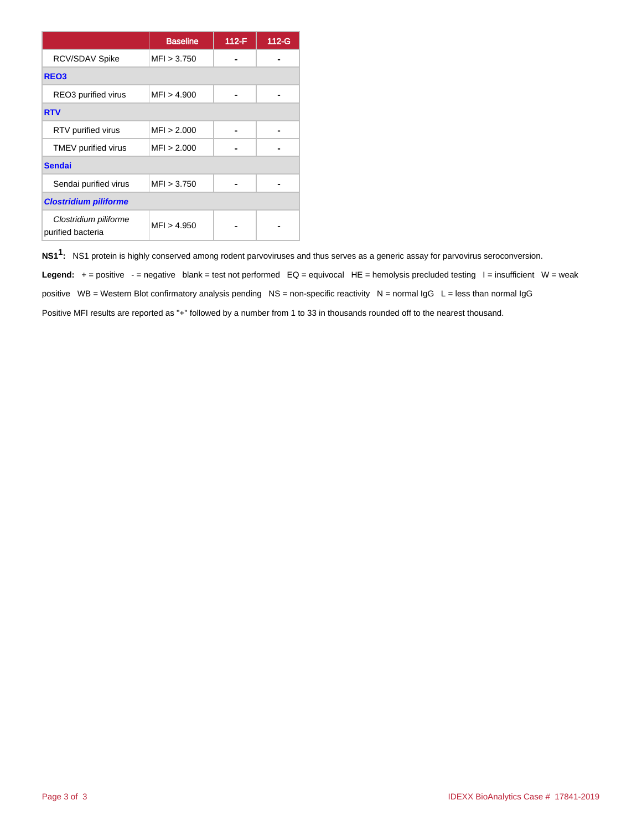|                                            | <b>Baseline</b> | $112-F$ | 112-G |  |  |  |
|--------------------------------------------|-----------------|---------|-------|--|--|--|
| RCV/SDAV Spike                             | MFI > 3.750     |         |       |  |  |  |
| REO <sub>3</sub>                           |                 |         |       |  |  |  |
| REO3 purified virus                        | MFI > 4.900     |         |       |  |  |  |
| <b>RTV</b>                                 |                 |         |       |  |  |  |
| RTV purified virus                         | MFI > 2.000     |         |       |  |  |  |
| TMEV purified virus                        | MFI > 2.000     |         |       |  |  |  |
| <b>Sendai</b>                              |                 |         |       |  |  |  |
| Sendai purified virus                      | MF1 > 3.750     |         |       |  |  |  |
| <b>Clostridium piliforme</b>               |                 |         |       |  |  |  |
| Clostridium piliforme<br>purified bacteria | MFI > 4.950     |         |       |  |  |  |

**NS11 :** NS1 protein is highly conserved among rodent parvoviruses and thus serves as a generic assay for parvovirus seroconversion.

Legend: + = positive - = negative blank = test not performed EQ = equivocal HE = hemolysis precluded testing I = insufficient W = weak positive WB = Western Blot confirmatory analysis pending NS = non-specific reactivity N = normal IgG L = less than normal IgG Positive MFI results are reported as "+" followed by a number from 1 to 33 in thousands rounded off to the nearest thousand.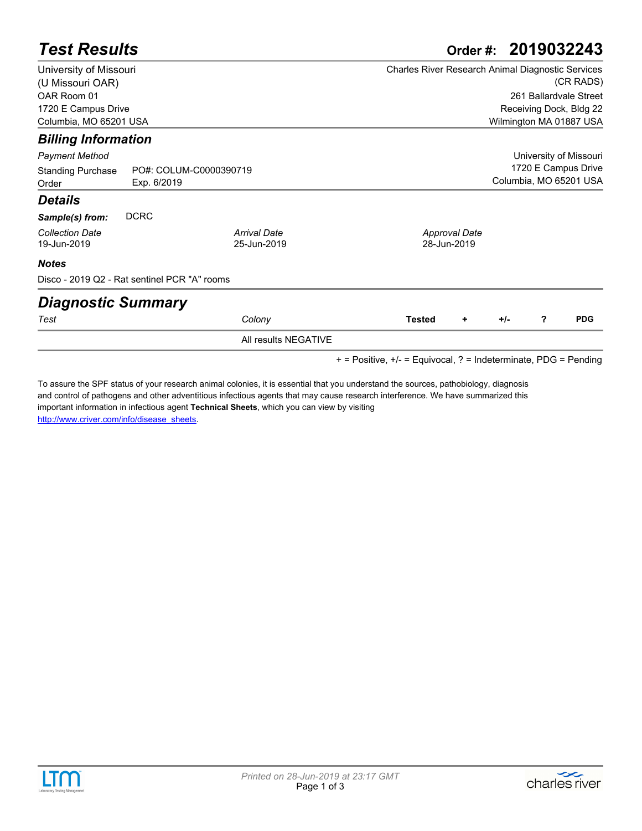| <b>Test Results</b>                        |                                              | 2019032243<br>Order #:                                                |
|--------------------------------------------|----------------------------------------------|-----------------------------------------------------------------------|
| University of Missouri<br>(U Missouri OAR) |                                              | <b>Charles River Research Animal Diagnostic Services</b><br>(CR RADS) |
| OAR Room 01                                |                                              | 261 Ballardvale Street                                                |
| 1720 E Campus Drive                        |                                              | Receiving Dock, Bldg 22                                               |
| Columbia, MO 65201 USA                     |                                              | Wilmington MA 01887 USA                                               |
| <b>Billing Information</b>                 |                                              |                                                                       |
| <b>Payment Method</b>                      |                                              | University of Missouri                                                |
| <b>Standing Purchase</b>                   | PO#: COLUM-C0000390719                       | 1720 E Campus Drive                                                   |
| Order                                      | Exp. 6/2019                                  | Columbia, MO 65201 USA                                                |
| <b>Details</b>                             |                                              |                                                                       |
| Sample(s) from:                            | <b>DCRC</b>                                  |                                                                       |
| <b>Collection Date</b>                     | <b>Arrival Date</b>                          | Approval Date                                                         |
| 19-Jun-2019                                | 25-Jun-2019                                  | 28-Jun-2019                                                           |
| <b>Notes</b>                               |                                              |                                                                       |
|                                            | Disco - 2019 Q2 - Rat sentinel PCR "A" rooms |                                                                       |
| <b>Diagnostic Summary</b>                  |                                              |                                                                       |
| Test                                       | Colony                                       | ?<br><b>PDG</b><br><b>Tested</b><br>$+/-$<br>٠                        |
|                                            | All results NEGATIVE                         |                                                                       |

+ = Positive, +/- = Equivocal, ? = Indeterminate, PDG = Pending

[To assure the SPF status of your research animal colonies, it is essential that you understand the sources, pathobiology, diagnosis](http://www.criver.com/info/disease_sheets)  and control of pathogens and other adventitious infectious agents that may cause research interference. We have summarized this important information in infectious agent **Technical Sheets**, which you can view by visiting http://www.criver.com/info/disease\_sheets.

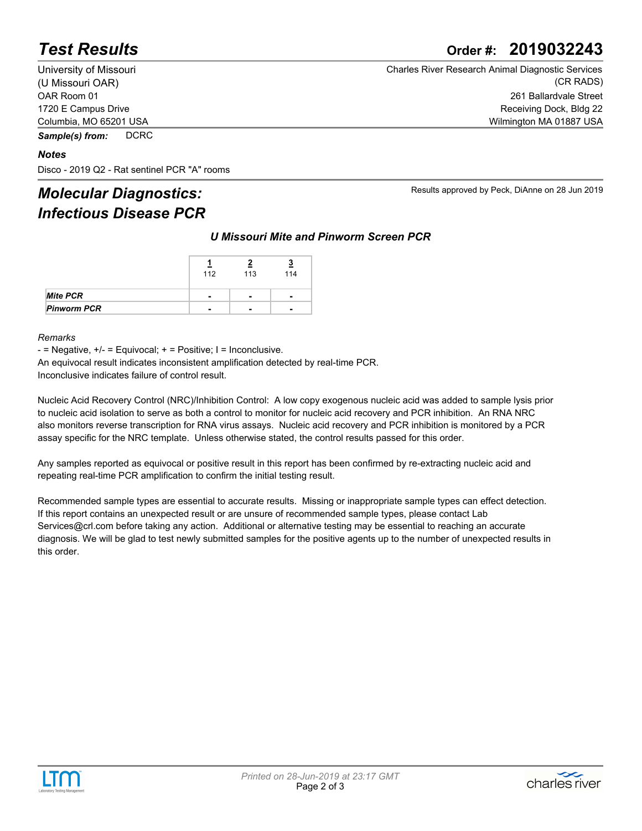# *Test Results* **Order #: 2019032243**

University of Missouri (U Missouri OAR) OAR Room 01 1720 E Campus Drive Columbia, MO 65201 USA *Sample(s) from:* DCRC

*Notes*

Disco - 2019 Q2 - Rat sentinel PCR "A" rooms

# *Molecular Diagnostics: Infectious Disease PCR*

| <b>Charles River Research Animal Diagnostic Services</b> |
|----------------------------------------------------------|
| (CR RADS)                                                |
| 261 Ballardvale Street                                   |
| Receiving Dock, Bldg 22                                  |
| Wilmington MA 01887 USA                                  |

Results approved by Peck, DiAnne on 28 Jun 2019

*U Missouri Mite and Pinworm Screen PCR*

|                    | 112            | 113            | <u>3</u><br>114          |
|--------------------|----------------|----------------|--------------------------|
| <b>Mite PCR</b>    | $\blacksquare$ | $\blacksquare$ | $\overline{\phantom{0}}$ |
| <b>Pinworm PCR</b> | -              | $\blacksquare$ | $\overline{\phantom{0}}$ |

### *Remarks*

 $-$  = Negative,  $+/-$  = Equivocal;  $+$  = Positive; I = Inconclusive.

An equivocal result indicates inconsistent amplification detected by real-time PCR. Inconclusive indicates failure of control result.

Nucleic Acid Recovery Control (NRC)/Inhibition Control: A low copy exogenous nucleic acid was added to sample lysis prior to nucleic acid isolation to serve as both a control to monitor for nucleic acid recovery and PCR inhibition. An RNA NRC also monitors reverse transcription for RNA virus assays. Nucleic acid recovery and PCR inhibition is monitored by a PCR assay specific for the NRC template. Unless otherwise stated, the control results passed for this order.

Any samples reported as equivocal or positive result in this report has been confirmed by re-extracting nucleic acid and repeating real-time PCR amplification to confirm the initial testing result.

Recommended sample types are essential to accurate results. Missing or inappropriate sample types can effect detection. If this report contains an unexpected result or are unsure of recommended sample types, please contact Lab Services@crl.com before taking any action. Additional or alternative testing may be essential to reaching an accurate diagnosis. We will be glad to test newly submitted samples for the positive agents up to the number of unexpected results in this order.



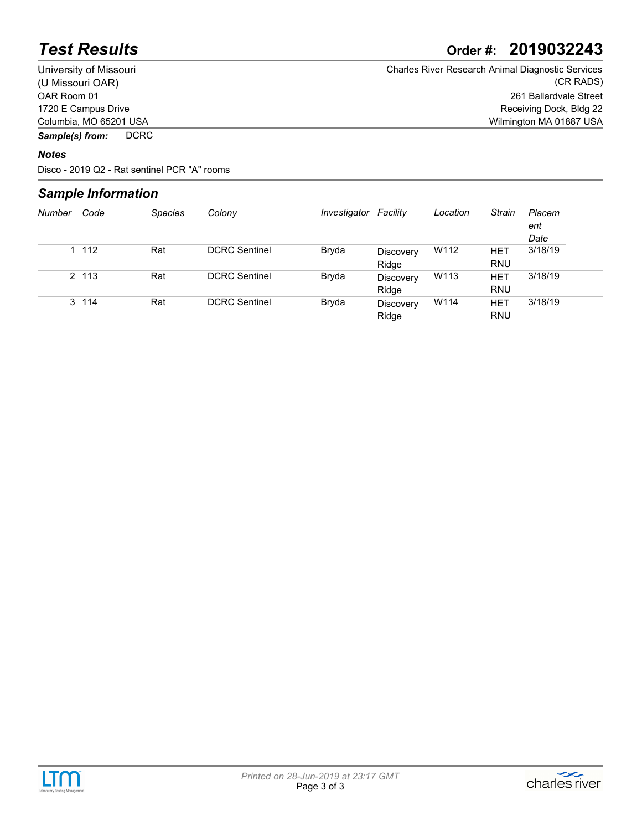# *Test Results* **Order #: 2019032243**

University of Missouri (U Missouri OAR) OAR Room 01 1720 E Campus Drive Columbia, MO 65201 USA Charles River Research Animal Diagnostic Services (CR RADS) 261 Ballardvale Street Receiving Dock, Bldg 22 Wilmington MA 01887 USA

*Sample(s) from:* DCRC

## *Notes*

Disco - 2019 Q2 - Rat sentinel PCR "A" rooms

## *Sample Information*

| Number | Code  | <b>Species</b> | Colony               | Investigator | Facility           | Location | <b>Strain</b>            | Placem<br>ent<br>Date |
|--------|-------|----------------|----------------------|--------------|--------------------|----------|--------------------------|-----------------------|
|        | 1 112 | Rat            | <b>DCRC</b> Sentinel | Bryda        | Discovery<br>Ridge | W112     | <b>HET</b><br><b>RNU</b> | 3/18/19               |
|        | 2 113 | Rat            | <b>DCRC</b> Sentinel | Bryda        | Discovery<br>Ridge | W113     | <b>HET</b><br><b>RNU</b> | 3/18/19               |
|        | 3 114 | Rat            | <b>DCRC</b> Sentinel | Bryda        | Discovery<br>Ridge | W114     | <b>HET</b><br><b>RNU</b> | 3/18/19               |



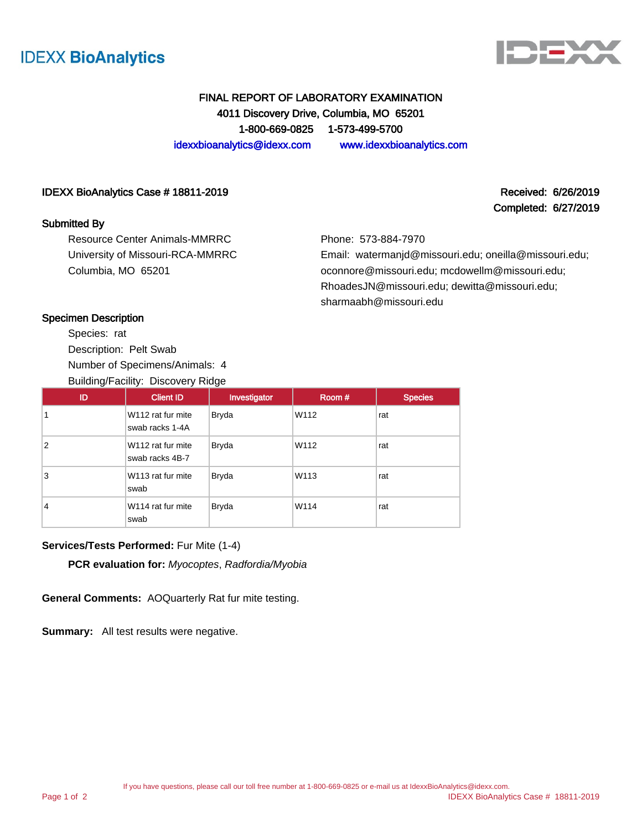



Completed: 6/27/2019

# FINAL REPORT OF LABORATORY EXAMINATION 4011 Discovery Drive, Columbia, MO 65201 1-800-669-0825 1-573-499-5700 idexxbioanalytics@idexx.com www.idexxbioanalytics.com

## IDEXX BioAnalytics Case # 18811-2019 Received: 6/26/2019 Received: 6/26/2019

## Submitted By

Resource Center Animals-MMRRC University of Missouri-RCA-MMRRC Columbia, MO 65201

Phone: 573-884-7970

Email: watermanjd@missouri.edu; oneilla@missouri.edu; oconnore@missouri.edu; mcdowellm@missouri.edu; RhoadesJN@missouri.edu; dewitta@missouri.edu; sharmaabh@missouri.edu

## Specimen Description

Species: rat Description: Pelt Swab Number of Specimens/Animals: 4 Building/Facility: Discovery Ridge

| ີ<br>ID | -<br><b>Client ID</b>                | ີ<br>Investigator | Room # | <b>Species</b> |
|---------|--------------------------------------|-------------------|--------|----------------|
|         | W112 rat fur mite<br>swab racks 1-4A | <b>Bryda</b>      | W112   | rat            |
| 2       | W112 rat fur mite<br>swab racks 4B-7 | <b>Bryda</b>      | W112   | rat            |
| 3       | W113 rat fur mite<br>swab            | <b>Bryda</b>      | W113   | rat            |
| 4       | W114 rat fur mite<br>swab            | <b>Bryda</b>      | W114   | rat            |

## **Services/Tests Performed:** Fur Mite (1-4)

**PCR evaluation for:** Myocoptes, Radfordia/Myobia

**General Comments:** AOQuarterly Rat fur mite testing.

**Summary:** All test results were negative.